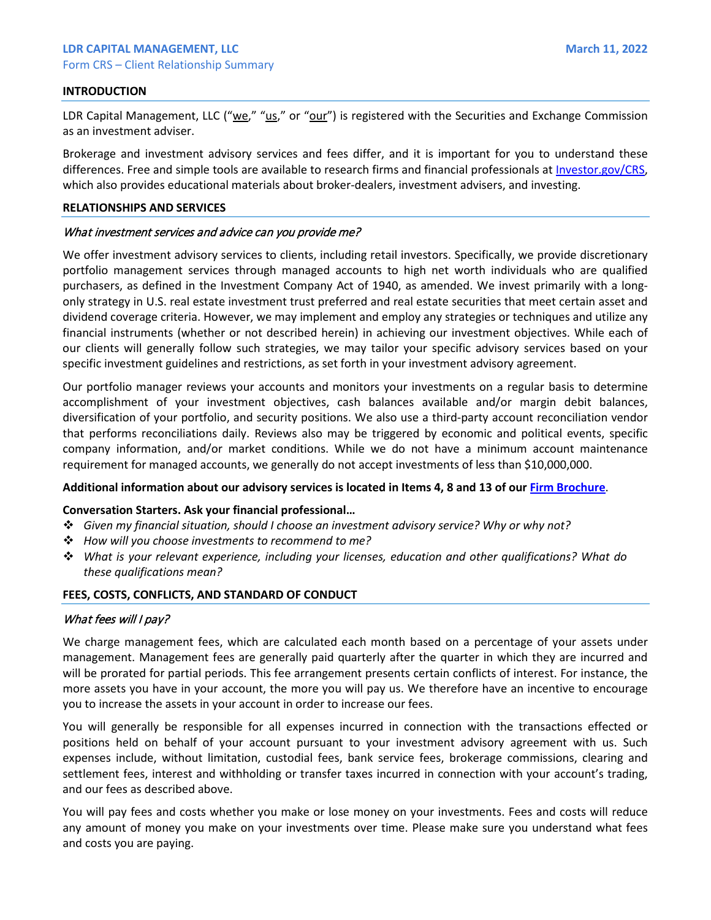## **INTRODUCTION**

LDR Capital Management, LLC ("we," "us," or "our") is registered with the Securities and Exchange Commission as an investment adviser.

Brokerage and investment advisory services and fees differ, and it is important for you to understand these differences. Free and simple tools are available to research firms and financial professionals at [Investor.gov/CRS,](http://www.investor.gov/CRS)  which also provides educational materials about broker-dealers, investment advisers, and investing.

#### **RELATIONSHIPS AND SERVICES**

### What investment services and advice can you provide me?

We offer investment advisory services to clients, including retail investors. Specifically, we provide discretionary portfolio management services through managed accounts to high net worth individuals who are qualified purchasers, as defined in the Investment Company Act of 1940, as amended. We invest primarily with a longonly strategy in U.S. real estate investment trust preferred and real estate securities that meet certain asset and dividend coverage criteria. However, we may implement and employ any strategies or techniques and utilize any financial instruments (whether or not described herein) in achieving our investment objectives. While each of our clients will generally follow such strategies, we may tailor your specific advisory services based on your specific investment guidelines and restrictions, as set forth in your investment advisory agreement.

Our portfolio manager reviews your accounts and monitors your investments on a regular basis to determine accomplishment of your investment objectives, cash balances available and/or margin debit balances, diversification of your portfolio, and security positions. We also use a third-party account reconciliation vendor that performs reconciliations daily. Reviews also may be triggered by economic and political events, specific company information, and/or market conditions. While we do not have a minimum account maintenance requirement for managed accounts, we generally do not accept investments of less than \$10,000,000.

### **Additional information about our advisory services is located in Items 4, 8 and 13 of our [Firm Brochure](https://adviserinfo.sec.gov/firm/summary/162329)**.

### **Conversation Starters. Ask your financial professional…**

- *Given my financial situation, should I choose an investment advisory service? Why or why not?*
- *How will you choose investments to recommend to me?*
- *What is your relevant experience, including your licenses, education and other qualifications? What do these qualifications mean?*

### **FEES, COSTS, CONFLICTS, AND STANDARD OF CONDUCT**

### What fees will I pay?

We charge management fees, which are calculated each month based on a percentage of your assets under management. Management fees are generally paid quarterly after the quarter in which they are incurred and will be prorated for partial periods. This fee arrangement presents certain conflicts of interest. For instance, the more assets you have in your account, the more you will pay us. We therefore have an incentive to encourage you to increase the assets in your account in order to increase our fees.

You will generally be responsible for all expenses incurred in connection with the transactions effected or positions held on behalf of your account pursuant to your investment advisory agreement with us. Such expenses include, without limitation, custodial fees, bank service fees, brokerage commissions, clearing and settlement fees, interest and withholding or transfer taxes incurred in connection with your account's trading, and our fees as described above.

You will pay fees and costs whether you make or lose money on your investments. Fees and costs will reduce any amount of money you make on your investments over time. Please make sure you understand what fees and costs you are paying.